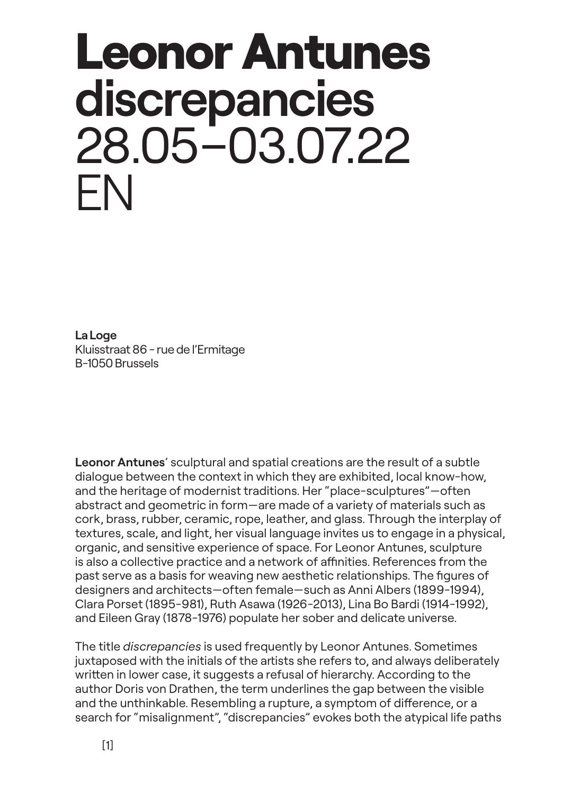# Leonor Antunes **discrepancies** 28.05–03.07.22 EN

**La Loge** Kluisstraat 86 - rue de l'Ermitage B-1050 Brussels

**Leonor Antunes**' sculptural and spatial creations are the result of a subtle dialogue between the context in which they are exhibited, local know-how, and the heritage of modernist traditions. Her "place-sculptures"—often abstract and geometric in form—are made of a variety of materials such as cork, brass, rubber, ceramic, rope, leather, and glass. Through the interplay of textures, scale, and light, her visual language invites us to engage in a physical, organic, and sensitive experience of space. For Leonor Antunes, sculpture is also a collective practice and a network of affinities. References from the past serve as a basis for weaving new aesthetic relationships. The figures of designers and architects—often female—such as Anni Albers (1899-1994), Clara Porset (1895-981), Ruth Asawa (1926-2013), Lina Bo Bardi (1914-1992), and Eileen Gray (1878-1976) populate her sober and delicate universe.

The title *discrepancies* is used frequently by Leonor Antunes. Sometimes juxtaposed with the initials of the artists she refers to, and always deliberately written in lower case, it suggests a refusal of hierarchy. According to the author Doris von Drathen, the term underlines the gap between the visible and the unthinkable. Resembling a rupture, a symptom of difference, or a search for "misalignment", "discrepancies" evokes both the atypical life paths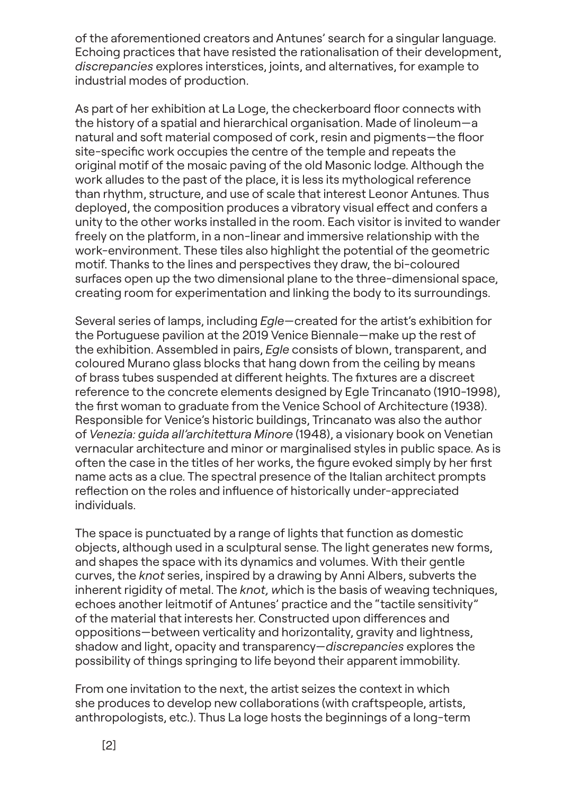of the aforementioned creators and Antunes' search for a singular language. Echoing practices that have resisted the rationalisation of their development, *discrepancies* explores interstices, joints, and alternatives, for example to industrial modes of production.

As part of her exhibition at La Loge, the checkerboard floor connects with the history of a spatial and hierarchical organisation. Made of linoleum—a natural and soft material composed of cork, resin and pigments—the floor site-specific work occupies the centre of the temple and repeats the original motif of the mosaic paving of the old Masonic lodge. Although the work alludes to the past of the place, it is less its mythological reference than rhythm, structure, and use of scale that interest Leonor Antunes. Thus deployed, the composition produces a vibratory visual effect and confers a unity to the other works installed in the room. Each visitor is invited to wander freely on the platform, in a non-linear and immersive relationship with the work-environment. These tiles also highlight the potential of the geometric motif. Thanks to the lines and perspectives they draw, the bi-coloured surfaces open up the two dimensional plane to the three-dimensional space, creating room for experimentation and linking the body to its surroundings.

Several series of lamps, including *Egle*—created for the artist's exhibition for the Portuguese pavilion at the 2019 Venice Biennale—make up the rest of the exhibition. Assembled in pairs, *Egle* consists of blown, transparent, and coloured Murano glass blocks that hang down from the ceiling by means of brass tubes suspended at different heights. The fixtures are a discreet reference to the concrete elements designed by Egle Trincanato (1910-1998), the first woman to graduate from the Venice School of Architecture (1938). Responsible for Venice's historic buildings, Trincanato was also the author of *Venezia: guida all'architettura Minore* (1948), a visionary book on Venetian vernacular architecture and minor or marginalised styles in public space. As is often the case in the titles of her works, the figure evoked simply by her first name acts as a clue. The spectral presence of the Italian architect prompts reflection on the roles and influence of historically under-appreciated individuals.

The space is punctuated by a range of lights that function as domestic objects, although used in a sculptural sense. The light generates new forms, and shapes the space with its dynamics and volumes. With their gentle curves, the *knot* series, inspired by a drawing by Anni Albers, subverts the inherent rigidity of metal. The *knot, w*hich is the basis of weaving techniques, echoes another leitmotif of Antunes' practice and the "tactile sensitivity" of the material that interests her. Constructed upon differences and oppositions—between verticality and horizontality, gravity and lightness, shadow and light, opacity and transparency—*discrepancies* explores the possibility of things springing to life beyond their apparent immobility.

From one invitation to the next, the artist seizes the context in which she produces to develop new collaborations (with craftspeople, artists, anthropologists, etc.). Thus La loge hosts the beginnings of a long-term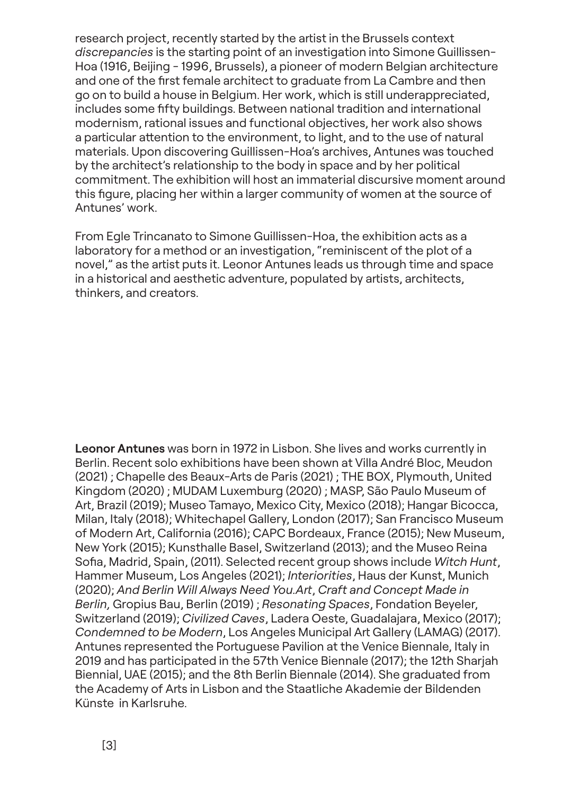research project, recently started by the artist in the Brussels context *discrepancies* is the starting point of an investigation into Simone Guillissen-Hoa (1916, Beijing - 1996, Brussels), a pioneer of modern Belgian architecture and one of the first female architect to graduate from La Cambre and then go on to build a house in Belgium. Her work, which is still underappreciated, includes some fifty buildings. Between national tradition and international modernism, rational issues and functional objectives, her work also shows a particular attention to the environment, to light, and to the use of natural materials. Upon discovering Guillissen-Hoa's archives, Antunes was touched by the architect's relationship to the body in space and by her political commitment. The exhibition will host an immaterial discursive moment around this figure, placing her within a larger community of women at the source of Antunes' work.

From Egle Trincanato to Simone Guillissen-Hoa, the exhibition acts as a laboratory for a method or an investigation, "reminiscent of the plot of a novel," as the artist puts it. Leonor Antunes leads us through time and space in a historical and aesthetic adventure, populated by artists, architects, thinkers, and creators.

**Leonor Antunes** was born in 1972 in Lisbon. She lives and works currently in Berlin. Recent solo exhibitions have been shown at Villa André Bloc, Meudon (2021) ; Chapelle des Beaux-Arts de Paris (2021) ; THE BOX, Plymouth, United Kingdom (2020) ; MUDAM Luxemburg (2020) ; MASP, São Paulo Museum of Art, Brazil (2019); Museo Tamayo, Mexico City, Mexico (2018); Hangar Bicocca, Milan, Italy (2018); Whitechapel Gallery, London (2017); San Francisco Museum of Modern Art, California (2016); CAPC Bordeaux, France (2015); New Museum, New York (2015); Kunsthalle Basel, Switzerland (2013); and the Museo Reina Sofia, Madrid, Spain, (2011). Selected recent group shows include *Witch Hunt*, Hammer Museum, Los Angeles (2021); *Interiorities*, Haus der Kunst, Munich (2020); *And Berlin Will Always Need You.Art*, *Craft and Concept Made in Berlin,* Gropius Bau, Berlin (2019) ; *Resonating Spaces*, Fondation Beyeler, Switzerland (2019); *Civilized Caves*, Ladera Oeste, Guadalajara, Mexico (2017); *Condemned to be Modern*, Los Angeles Municipal Art Gallery (LAMAG) (2017). Antunes represented the Portuguese Pavilion at the Venice Biennale, Italy in 2019 and has participated in the 57th Venice Biennale (2017); the 12th Sharjah Biennial, UAE (2015); and the 8th Berlin Biennale (2014). She graduated from the Academy of Arts in Lisbon and the Staatliche Akademie der Bildenden Künste in Karlsruhe.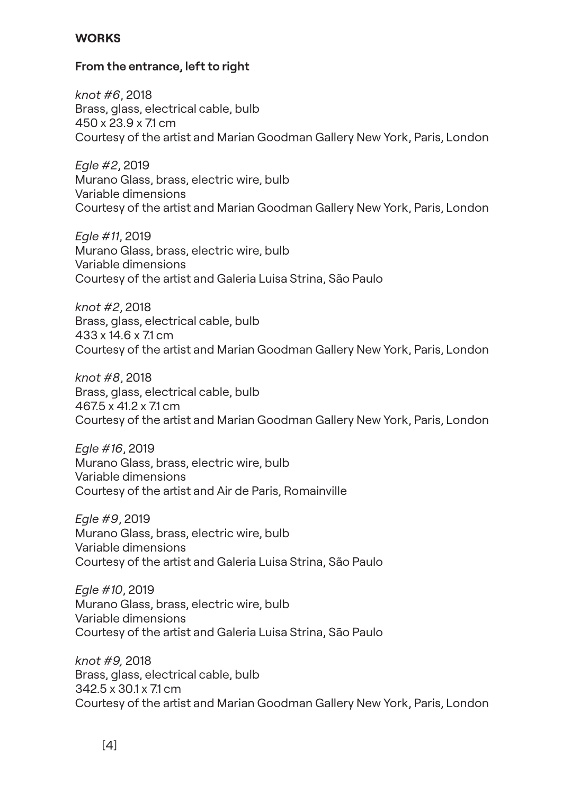## **WORKS**

## **From the entrance, left to right**

*knot #6*, 2018 Brass, glass, electrical cable, bulb 450 x 23.9 x 7.1 cm Courtesy of the artist and Marian Goodman Gallery New York, Paris, London

*Egle #2*, 2019 Murano Glass, brass, electric wire, bulb Variable dimensions Courtesy of the artist and Marian Goodman Gallery New York, Paris, London

*Egle #11*, 2019 Murano Glass, brass, electric wire, bulb Variable dimensions Courtesy of the artist and Galeria Luisa Strina, São Paulo

*knot #2*, 2018 Brass, glass, electrical cable, bulb 433 x 14.6 x 7.1 cm Courtesy of the artist and Marian Goodman Gallery New York, Paris, London

*knot #8*, 2018 Brass, glass, electrical cable, bulb 467.5 x 41.2 x 7.1 cm Courtesy of the artist and Marian Goodman Gallery New York, Paris, London

*Egle #16*, 2019 Murano Glass, brass, electric wire, bulb Variable dimensions Courtesy of the artist and Air de Paris, Romainville

*Egle #9*, 2019 Murano Glass, brass, electric wire, bulb Variable dimensions Courtesy of the artist and Galeria Luisa Strina, São Paulo

*Egle #10*, 2019 Murano Glass, brass, electric wire, bulb Variable dimensions Courtesy of the artist and Galeria Luisa Strina, São Paulo

*knot #9,* 2018 Brass, glass, electrical cable, bulb 342.5 x 30.1 x 7.1 cm Courtesy of the artist and Marian Goodman Gallery New York, Paris, London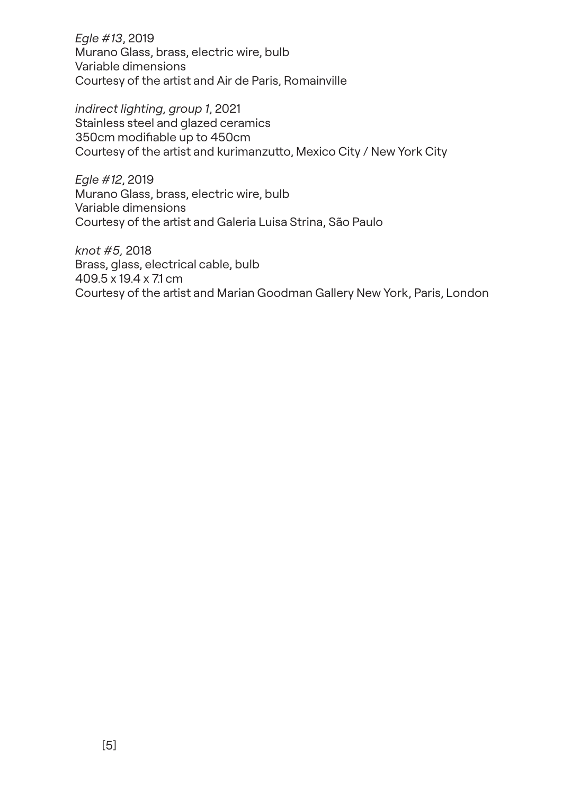*Egle #13*, 2019 Murano Glass, brass, electric wire, bulb Variable dimensions Courtesy of the artist and Air de Paris, Romainville

*indirect lighting, group 1*, 2021 Stainless steel and glazed ceramics 350cm modifiable up to 450cm Courtesy of the artist and kurimanzutto, Mexico City / New York City

*Egle #12*, 2019 Murano Glass, brass, electric wire, bulb Variable dimensions Courtesy of the artist and Galeria Luisa Strina, São Paulo

*knot #5,* 2018 Brass, glass, electrical cable, bulb 409.5 x 19.4 x 7.1 cm Courtesy of the artist and Marian Goodman Gallery New York, Paris, London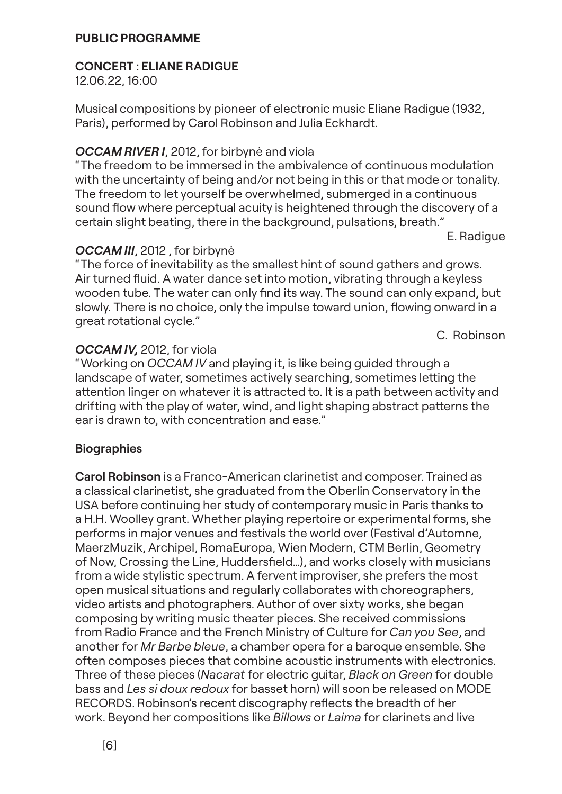#### **PUBLIC PROGRAMME**

## **CONCERT : ELIANE RADIGUE**

12.06.22, 16:00

Musical compositions by pioneer of electronic music Eliane Radigue (1932, Paris), performed by Carol Robinson and Julia Eckhardt.

## *OCCAM RIVER I*, 2012, for birbynė and viola

"The freedom to be immersed in the ambivalence of continuous modulation with the uncertainty of being and/or not being in this or that mode or tonality. The freedom to let yourself be overwhelmed, submerged in a continuous sound flow where perceptual acuity is heightened through the discovery of a certain slight beating, there in the background, pulsations, breath."

E. Radigue

## *OCCAM III*, 2012 , for birbynė

"The force of inevitability as the smallest hint of sound gathers and grows. Air turned fluid. A water dance set into motion, vibrating through a keyless wooden tube. The water can only find its way. The sound can only expand, but slowly. There is no choice, only the impulse toward union, flowing onward in a great rotational cycle."

C. Robinson

## *OCCAM IV,* 2012, for viola

"Working on *OCCAM IV* and playing it, is like being guided through a landscape of water, sometimes actively searching, sometimes letting the attention linger on whatever it is attracted to. It is a path between activity and drifting with the play of water, wind, and light shaping abstract patterns the ear is drawn to, with concentration and ease."

## **Biographies**

**Carol Robinson** is a Franco-American clarinetist and composer. Trained as a classical clarinetist, she graduated from the Oberlin Conservatory in the USA before continuing her study of contemporary music in Paris thanks to a H.H. Woolley grant. Whether playing repertoire or experimental forms, she performs in major venues and festivals the world over (Festival d'Automne, MaerzMuzik, Archipel, RomaEuropa, Wien Modern, CTM Berlin, Geometry of Now, Crossing the Line, Huddersfield…), and works closely with musicians from a wide stylistic spectrum. A fervent improviser, she prefers the most open musical situations and regularly collaborates with choreographers, video artists and photographers. Author of over sixty works, she began composing by writing music theater pieces. She received commissions from Radio France and the French Ministry of Culture for *Can you See*, and another for *Mr Barbe bleue*, a chamber opera for a baroque ensemble. She often composes pieces that combine acoustic instruments with electronics. Three of these pieces (*Nacarat* for electric guitar, *Black on Green* for double bass and *Les si doux redoux* for basset horn) will soon be released on MODE RECORDS. Robinson's recent discography reflects the breadth of her work. Beyond her compositions like *Billows* or *Laima* for clarinets and live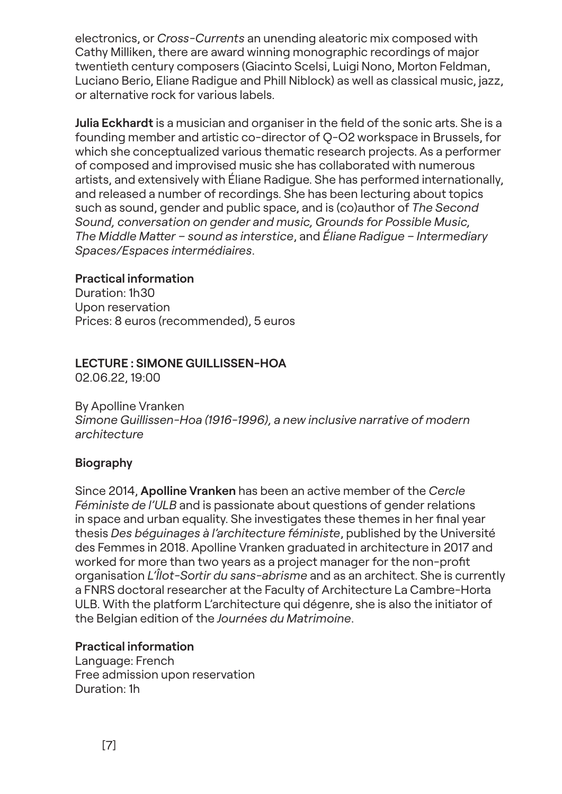electronics, or *Cross-Currents* an unending aleatoric mix composed with Cathy Milliken, there are award winning monographic recordings of major twentieth century composers (Giacinto Scelsi, Luigi Nono, Morton Feldman, Luciano Berio, Eliane Radigue and Phill Niblock) as well as classical music, jazz, or alternative rock for various labels.

**Julia Eckhardt** is a musician and organiser in the field of the sonic arts. She is a founding member and artistic co-director of Q-O2 workspace in Brussels, for which she conceptualized various thematic research projects. As a performer of composed and improvised music she has collaborated with numerous artists, and extensively with Éliane Radigue. She has performed internationally, and released a number of recordings. She has been lecturing about topics such as sound, gender and public space, and is (co)author of *The Second Sound, conversation on gender and music, Grounds for Possible Music, The Middle Matter – sound as interstice*, and *Éliane Radigue – Intermediary Spaces/Espaces intermédiaires*.

# **Practical information**

Duration: 1h30 Upon reservation Prices: 8 euros (recommended), 5 euros

# **LECTURE : SIMONE GUILLISSEN-HOA**

02.06.22, 19:00

By Apolline Vranken

*Simone Guillissen-Hoa (1916-1996), a new inclusive narrative of modern architecture*

# **Biography**

Since 2014, **Apolline Vranken** has been an active member of the *Cercle Féministe de l'ULB* and is passionate about questions of gender relations in space and urban equality. She investigates these themes in her final year thesis *Des béguinages à l'architecture féministe*, published by the Université des Femmes in 2018. Apolline Vranken graduated in architecture in 2017 and worked for more than two years as a project manager for the non-profit organisation *L'Îlot-Sortir du sans-abrisme* and as an architect. She is currently a FNRS doctoral researcher at the Faculty of Architecture La Cambre-Horta ULB. With the platform L'architecture qui dégenre, she is also the initiator of the Belgian edition of the *Journées du Matrimoine*.

# **Practical information**

Language: French Free admission upon reservation Duration: 1h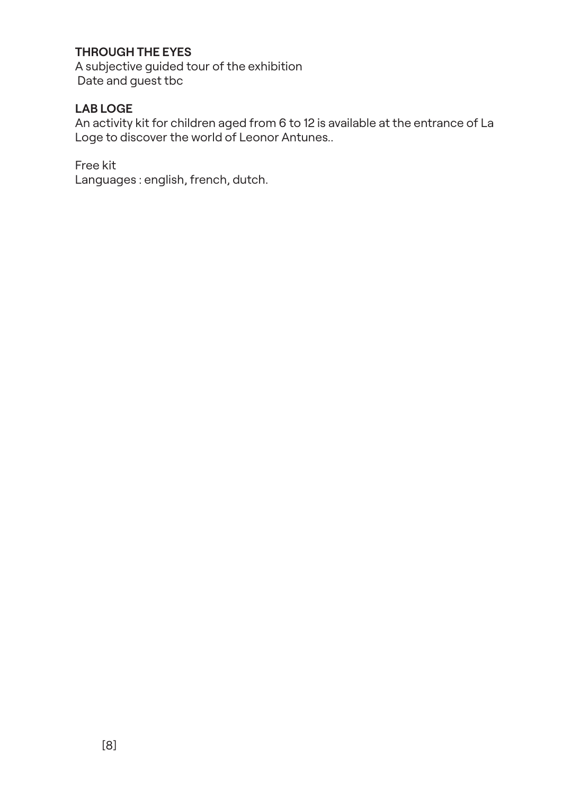# **THROUGH THE EYES**

A subjective guided tour of the exhibition Date and guest tbc

# **LAB LOGE**

An activity kit for children aged from 6 to 12 is available at the entrance of La Loge to discover the world of Leonor Antunes..

Free kit

Languages : english, french, dutch.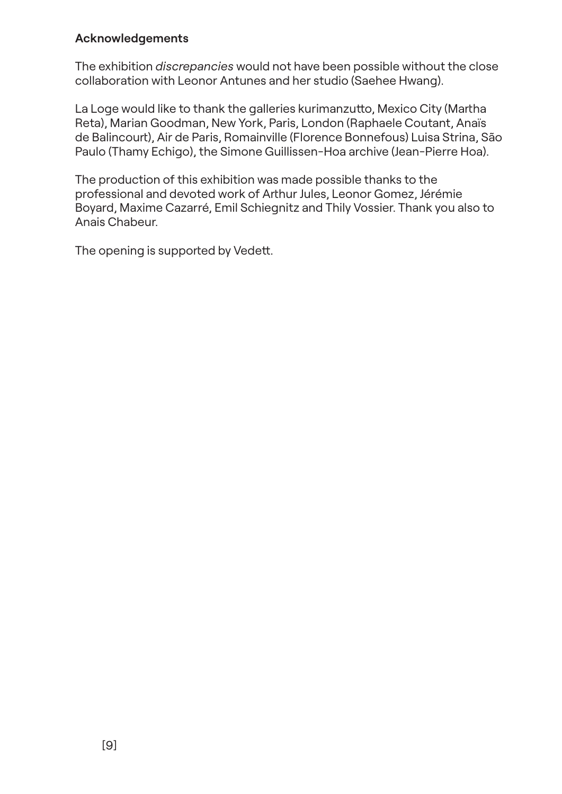## **Acknowledgements**

The exhibition *discrepancies* would not have been possible without the close collaboration with Leonor Antunes and her studio (Saehee Hwang).

La Loge would like to thank the galleries kurimanzutto, Mexico City (Martha Reta), Marian Goodman, New York, Paris, London (Raphaele Coutant, Anaïs de Balincourt), Air de Paris, Romainville (Florence Bonnefous) Luisa Strina, São Paulo (Thamy Echigo), the Simone Guillissen-Hoa archive (Jean-Pierre Hoa).

The production of this exhibition was made possible thanks to the professional and devoted work of Arthur Jules, Leonor Gomez, Jérémie Boyard, Maxime Cazarré, Emil Schiegnitz and Thily Vossier. Thank you also to Anais Chabeur.

The opening is supported by Vedett.